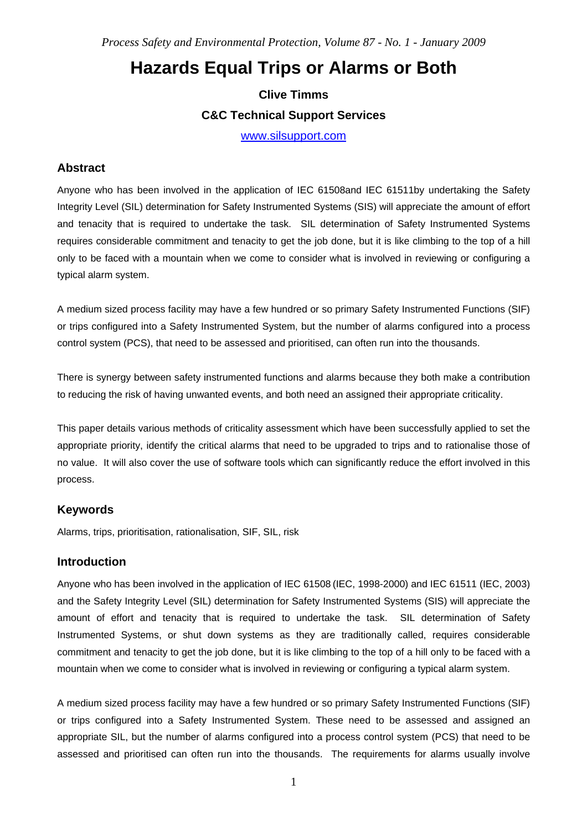# **Hazards Equal Trips or Alarms or Both**

# **Clive Timms C&C Technical Support Services**

www.silsupport.com

# **Abstract**

Anyone who has been involved in the application of IEC 61508and IEC 61511by undertaking the Safety Integrity Level (SIL) determination for Safety Instrumented Systems (SIS) will appreciate the amount of effort and tenacity that is required to undertake the task. SIL determination of Safety Instrumented Systems requires considerable commitment and tenacity to get the job done, but it is like climbing to the top of a hill only to be faced with a mountain when we come to consider what is involved in reviewing or configuring a typical alarm system.

A medium sized process facility may have a few hundred or so primary Safety Instrumented Functions (SIF) or trips configured into a Safety Instrumented System, but the number of alarms configured into a process control system (PCS), that need to be assessed and prioritised, can often run into the thousands.

There is synergy between safety instrumented functions and alarms because they both make a contribution to reducing the risk of having unwanted events, and both need an assigned their appropriate criticality.

This paper details various methods of criticality assessment which have been successfully applied to set the appropriate priority, identify the critical alarms that need to be upgraded to trips and to rationalise those of no value. It will also cover the use of software tools which can significantly reduce the effort involved in this process.

# **Keywords**

Alarms, trips, prioritisation, rationalisation, SIF, SIL, risk

# **Introduction**

Anyone who has been involved in the application of IEC 61508 (IEC, 1998-2000) and IEC 61511 (IEC, 2003) and the Safety Integrity Level (SIL) determination for Safety Instrumented Systems (SIS) will appreciate the amount of effort and tenacity that is required to undertake the task. SIL determination of Safety Instrumented Systems, or shut down systems as they are traditionally called, requires considerable commitment and tenacity to get the job done, but it is like climbing to the top of a hill only to be faced with a mountain when we come to consider what is involved in reviewing or configuring a typical alarm system.

A medium sized process facility may have a few hundred or so primary Safety Instrumented Functions (SIF) or trips configured into a Safety Instrumented System. These need to be assessed and assigned an appropriate SIL, but the number of alarms configured into a process control system (PCS) that need to be assessed and prioritised can often run into the thousands. The requirements for alarms usually involve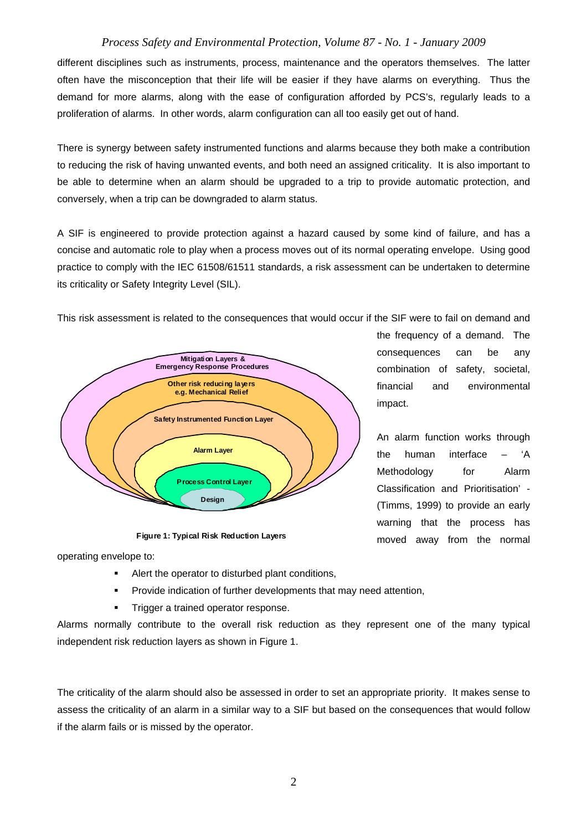different disciplines such as instruments, process, maintenance and the operators themselves. The latter often have the misconception that their life will be easier if they have alarms on everything. Thus the demand for more alarms, along with the ease of configuration afforded by PCS's, regularly leads to a proliferation of alarms. In other words, alarm configuration can all too easily get out of hand.

There is synergy between safety instrumented functions and alarms because they both make a contribution to reducing the risk of having unwanted events, and both need an assigned criticality. It is also important to be able to determine when an alarm should be upgraded to a trip to provide automatic protection, and conversely, when a trip can be downgraded to alarm status.

A SIF is engineered to provide protection against a hazard caused by some kind of failure, and has a concise and automatic role to play when a process moves out of its normal operating envelope. Using good practice to comply with the IEC 61508/61511 standards, a risk assessment can be undertaken to determine its criticality or Safety Integrity Level (SIL).

This risk assessment is related to the consequences that would occur if the SIF were to fail on demand and



**Figure 1: Typical Risk Reduction Layers**

operating envelope to:

- Alert the operator to disturbed plant conditions,
- Provide indication of further developments that may need attention,
- **Trigger a trained operator response.**

Alarms normally contribute to the overall risk reduction as they represent one of the many typical independent risk reduction layers as shown in Figure 1.

The criticality of the alarm should also be assessed in order to set an appropriate priority. It makes sense to assess the criticality of an alarm in a similar way to a SIF but based on the consequences that would follow if the alarm fails or is missed by the operator.

the frequency of a demand. The consequences can be any combination of safety, societal, financial and environmental impact.

An alarm function works through the human interface – 'A Methodology for Alarm Classification and Prioritisation' - (Timms, 1999) to provide an early warning that the process has moved away from the normal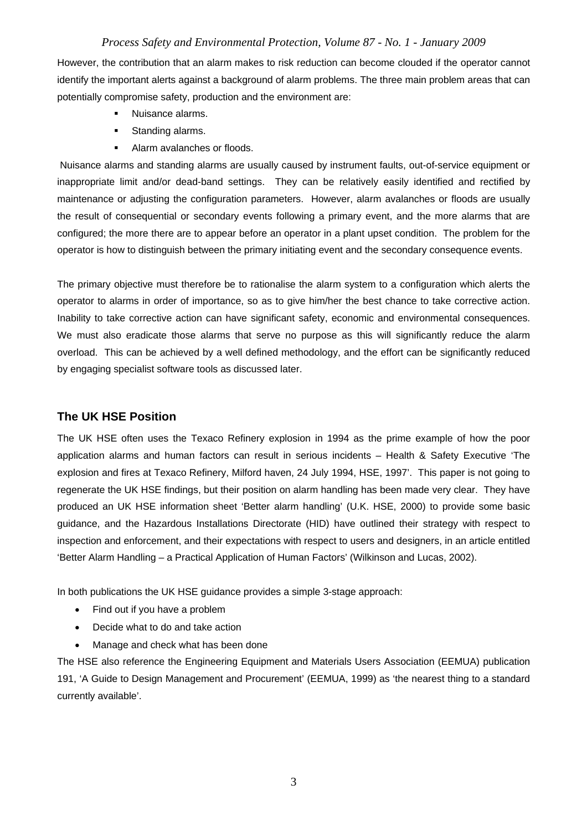However, the contribution that an alarm makes to risk reduction can become clouded if the operator cannot identify the important alerts against a background of alarm problems. The three main problem areas that can potentially compromise safety, production and the environment are:

- **Nuisance alarms.**
- **Standing alarms.**
- Alarm avalanches or floods.

 Nuisance alarms and standing alarms are usually caused by instrument faults, out-of-service equipment or inappropriate limit and/or dead-band settings. They can be relatively easily identified and rectified by maintenance or adjusting the configuration parameters. However, alarm avalanches or floods are usually the result of consequential or secondary events following a primary event, and the more alarms that are configured; the more there are to appear before an operator in a plant upset condition. The problem for the operator is how to distinguish between the primary initiating event and the secondary consequence events.

The primary objective must therefore be to rationalise the alarm system to a configuration which alerts the operator to alarms in order of importance, so as to give him/her the best chance to take corrective action. Inability to take corrective action can have significant safety, economic and environmental consequences. We must also eradicate those alarms that serve no purpose as this will significantly reduce the alarm overload. This can be achieved by a well defined methodology, and the effort can be significantly reduced by engaging specialist software tools as discussed later.

# **The UK HSE Position**

The UK HSE often uses the Texaco Refinery explosion in 1994 as the prime example of how the poor application alarms and human factors can result in serious incidents – Health & Safety Executive 'The explosion and fires at Texaco Refinery, Milford haven, 24 July 1994, HSE, 1997'. This paper is not going to regenerate the UK HSE findings, but their position on alarm handling has been made very clear. They have produced an UK HSE information sheet 'Better alarm handling' (U.K. HSE, 2000) to provide some basic guidance, and the Hazardous Installations Directorate (HID) have outlined their strategy with respect to inspection and enforcement, and their expectations with respect to users and designers, in an article entitled 'Better Alarm Handling – a Practical Application of Human Factors' (Wilkinson and Lucas, 2002).

In both publications the UK HSE guidance provides a simple 3-stage approach:

- Find out if you have a problem
- Decide what to do and take action
- Manage and check what has been done

The HSE also reference the Engineering Equipment and Materials Users Association (EEMUA) publication 191, 'A Guide to Design Management and Procurement' (EEMUA, 1999) as 'the nearest thing to a standard currently available'.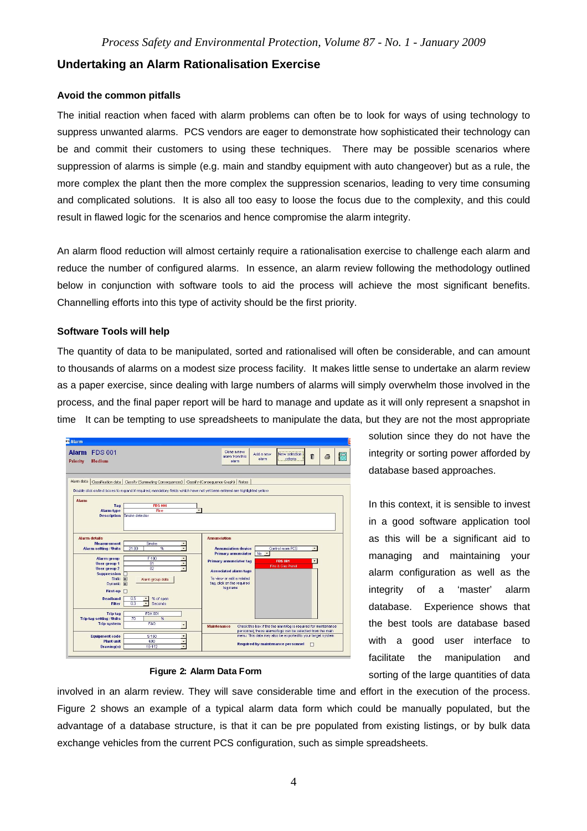## **Undertaking an Alarm Rationalisation Exercise**

#### **Avoid the common pitfalls**

The initial reaction when faced with alarm problems can often be to look for ways of using technology to suppress unwanted alarms. PCS vendors are eager to demonstrate how sophisticated their technology can be and commit their customers to using these techniques. There may be possible scenarios where suppression of alarms is simple (e.g. main and standby equipment with auto changeover) but as a rule, the more complex the plant then the more complex the suppression scenarios, leading to very time consuming and complicated solutions. It is also all too easy to loose the focus due to the complexity, and this could result in flawed logic for the scenarios and hence compromise the alarm integrity.

An alarm flood reduction will almost certainly require a rationalisation exercise to challenge each alarm and reduce the number of configured alarms. In essence, an alarm review following the methodology outlined below in conjunction with software tools to aid the process will achieve the most significant benefits. Channelling efforts into this type of activity should be the first priority.

#### **Software Tools will help**

The quantity of data to be manipulated, sorted and rationalised will often be considerable, and can amount to thousands of alarms on a modest size process facility. It makes little sense to undertake an alarm review as a paper exercise, since dealing with large numbers of alarms will simply overwhelm those involved in the process, and the final paper report will be hard to manage and update as it will only represent a snapshot in time It can be tempting to use spreadsheets to manipulate the data, but they are not the most appropriate

| Alarm FDS 001<br><b>Priority</b><br><b>Medium</b>                                                                                 |                                                                                                                                                                                                                             | Clone a new<br>alarm from this<br>alarm                                                                                                                      | Add a new<br>alarm                       | New selection<br>criteria                                                                                                                                                                    | the<br>6 | § — |
|-----------------------------------------------------------------------------------------------------------------------------------|-----------------------------------------------------------------------------------------------------------------------------------------------------------------------------------------------------------------------------|--------------------------------------------------------------------------------------------------------------------------------------------------------------|------------------------------------------|----------------------------------------------------------------------------------------------------------------------------------------------------------------------------------------------|----------|-----|
| Alarm data                                                                                                                        | Classification data   Classify (Summating Consequences)   Classify (Consequence Graph)   Notes<br>Double click on text boxes to expand if required, mandatory fields which have not yet been entered are highlighted yellow |                                                                                                                                                              |                                          |                                                                                                                                                                                              |          |     |
| <b>Alarm</b><br>Tag<br><b>Alarm type</b><br><b>Description</b>                                                                    | <b>FDS 001</b><br>Fire<br>Smoke detector                                                                                                                                                                                    |                                                                                                                                                              |                                          |                                                                                                                                                                                              |          |     |
| <b>Alarm details</b><br><b>Measurement</b><br><b>Alarm setting / Units</b>                                                        | Smoke<br>21.00<br>%                                                                                                                                                                                                         | <b>Annunciation</b><br><b>Annunciation device</b>                                                                                                            |                                          | Control room PCS                                                                                                                                                                             |          |     |
| <b>Alarm group</b><br>User group 1<br>User group 2<br>Suppression □<br>Static <b>III</b><br>Dynamic <b>III</b><br>First-up $\Box$ | F 100<br>m.<br>02<br>Alarm group data                                                                                                                                                                                       | <b>Primary annunciator</b><br>Primary annunciator tag<br><b>Associated alarm tags</b><br>To view or edit a related<br>tag, click on the required<br>tag name | $No.$ $\star$                            | <b>FDS 001</b><br>Fire & Gas Panel                                                                                                                                                           |          |     |
| Deadband<br>Filter<br><b>Trip tag</b><br><b>Trip tag setting / Units</b>                                                          | 0.5<br>% of span<br>0.3<br>Seconds:<br><b>FDX 001</b><br>%<br>70                                                                                                                                                            |                                                                                                                                                              |                                          |                                                                                                                                                                                              |          |     |
| <b>Trip system</b><br><b>Equipment code</b>                                                                                       | F&G<br>S 150                                                                                                                                                                                                                | <b>Maintenance</b>                                                                                                                                           |                                          | Check this box if the the alarm/log is required for maintenance<br>personnel; these alarms/logs can be selected from the main<br>menu. This data may also be exported to your target system. |          |     |
| <b>Plant unit</b><br>Drawing(s)                                                                                                   | 600<br>10-112                                                                                                                                                                                                               |                                                                                                                                                              | <b>Required by maintenance personnel</b> |                                                                                                                                                                                              | п        |     |

**Figure 2: Alarm Data Form**

solution since they do not have the integrity or sorting power afforded by database based approaches.

In this context, it is sensible to invest in a good software application tool as this will be a significant aid to managing and maintaining your alarm configuration as well as the integrity of a 'master' alarm database. Experience shows that the best tools are database based with a good user interface to facilitate the manipulation and sorting of the large quantities of data

involved in an alarm review. They will save considerable time and effort in the execution of the process. Figure 2 shows an example of a typical alarm data form which could be manually populated, but the advantage of a database structure, is that it can be pre populated from existing listings, or by bulk data exchange vehicles from the current PCS configuration, such as simple spreadsheets.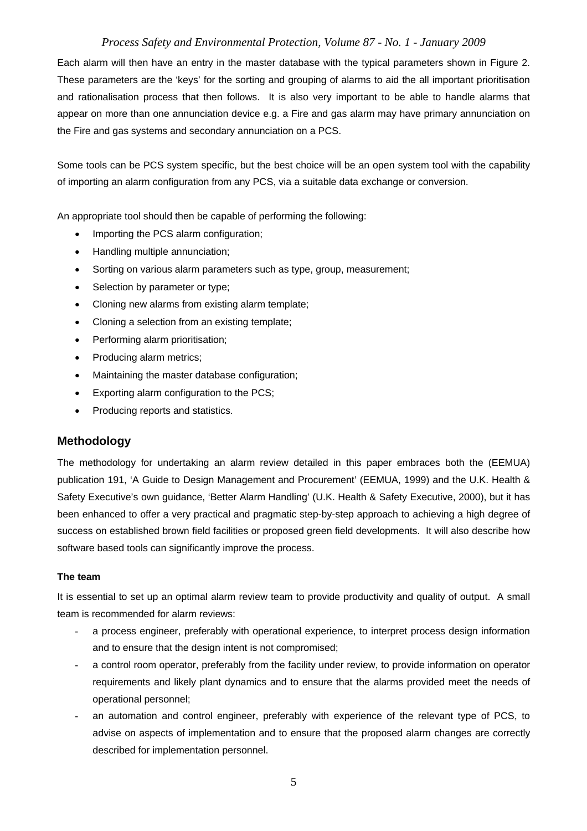Each alarm will then have an entry in the master database with the typical parameters shown in Figure 2. These parameters are the 'keys' for the sorting and grouping of alarms to aid the all important prioritisation and rationalisation process that then follows. It is also very important to be able to handle alarms that appear on more than one annunciation device e.g. a Fire and gas alarm may have primary annunciation on the Fire and gas systems and secondary annunciation on a PCS.

Some tools can be PCS system specific, but the best choice will be an open system tool with the capability of importing an alarm configuration from any PCS, via a suitable data exchange or conversion.

An appropriate tool should then be capable of performing the following:

- Importing the PCS alarm configuration;
- Handling multiple annunciation;
- Sorting on various alarm parameters such as type, group, measurement;
- Selection by parameter or type:
- Cloning new alarms from existing alarm template;
- Cloning a selection from an existing template;
- Performing alarm prioritisation;
- Producing alarm metrics;
- Maintaining the master database configuration;
- Exporting alarm configuration to the PCS;
- Producing reports and statistics.

## **Methodology**

The methodology for undertaking an alarm review detailed in this paper embraces both the (EEMUA) publication 191, 'A Guide to Design Management and Procurement' (EEMUA, 1999) and the U.K. Health & Safety Executive's own guidance, 'Better Alarm Handling' (U.K. Health & Safety Executive, 2000), but it has been enhanced to offer a very practical and pragmatic step-by-step approach to achieving a high degree of success on established brown field facilities or proposed green field developments. It will also describe how software based tools can significantly improve the process.

#### **The team**

It is essential to set up an optimal alarm review team to provide productivity and quality of output. A small team is recommended for alarm reviews:

- a process engineer, preferably with operational experience, to interpret process design information and to ensure that the design intent is not compromised;
- a control room operator, preferably from the facility under review, to provide information on operator requirements and likely plant dynamics and to ensure that the alarms provided meet the needs of operational personnel;
- an automation and control engineer, preferably with experience of the relevant type of PCS, to advise on aspects of implementation and to ensure that the proposed alarm changes are correctly described for implementation personnel.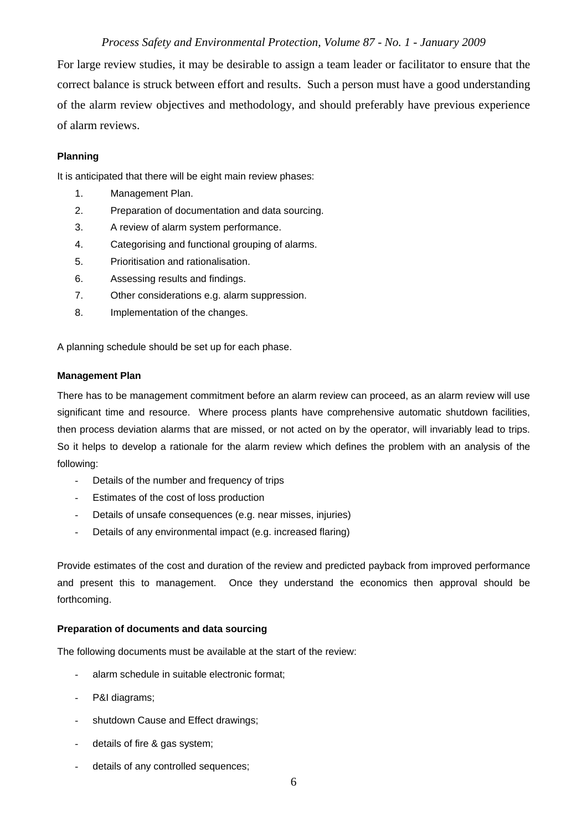For large review studies, it may be desirable to assign a team leader or facilitator to ensure that the correct balance is struck between effort and results. Such a person must have a good understanding of the alarm review objectives and methodology, and should preferably have previous experience of alarm reviews.

#### **Planning**

It is anticipated that there will be eight main review phases:

- 1. Management Plan.
- 2. Preparation of documentation and data sourcing.
- 3. A review of alarm system performance.
- 4. Categorising and functional grouping of alarms.
- 5. Prioritisation and rationalisation.
- 6. Assessing results and findings.
- 7. Other considerations e.g. alarm suppression.
- 8. Implementation of the changes.

A planning schedule should be set up for each phase.

#### **Management Plan**

There has to be management commitment before an alarm review can proceed, as an alarm review will use significant time and resource. Where process plants have comprehensive automatic shutdown facilities, then process deviation alarms that are missed, or not acted on by the operator, will invariably lead to trips. So it helps to develop a rationale for the alarm review which defines the problem with an analysis of the following:

- Details of the number and frequency of trips
- Estimates of the cost of loss production
- Details of unsafe consequences (e.g. near misses, injuries)
- Details of any environmental impact (e.g. increased flaring)

Provide estimates of the cost and duration of the review and predicted payback from improved performance and present this to management. Once they understand the economics then approval should be forthcoming.

#### **Preparation of documents and data sourcing**

The following documents must be available at the start of the review:

- alarm schedule in suitable electronic format;
- P&I diagrams;
- shutdown Cause and Effect drawings;
- details of fire & gas system;
- details of any controlled sequences;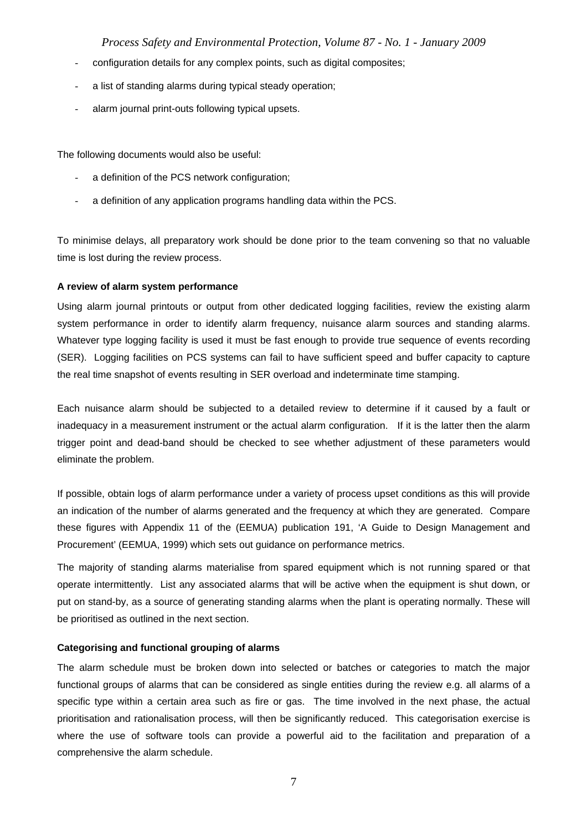- configuration details for any complex points, such as digital composites;
- a list of standing alarms during typical steady operation;
- alarm journal print-outs following typical upsets.

The following documents would also be useful:

- a definition of the PCS network configuration;
- a definition of any application programs handling data within the PCS.

To minimise delays, all preparatory work should be done prior to the team convening so that no valuable time is lost during the review process.

#### **A review of alarm system performance**

Using alarm journal printouts or output from other dedicated logging facilities, review the existing alarm system performance in order to identify alarm frequency, nuisance alarm sources and standing alarms. Whatever type logging facility is used it must be fast enough to provide true sequence of events recording (SER). Logging facilities on PCS systems can fail to have sufficient speed and buffer capacity to capture the real time snapshot of events resulting in SER overload and indeterminate time stamping.

Each nuisance alarm should be subjected to a detailed review to determine if it caused by a fault or inadequacy in a measurement instrument or the actual alarm configuration. If it is the latter then the alarm trigger point and dead-band should be checked to see whether adjustment of these parameters would eliminate the problem.

If possible, obtain logs of alarm performance under a variety of process upset conditions as this will provide an indication of the number of alarms generated and the frequency at which they are generated. Compare these figures with Appendix 11 of the (EEMUA) publication 191, 'A Guide to Design Management and Procurement' (EEMUA, 1999) which sets out guidance on performance metrics.

The majority of standing alarms materialise from spared equipment which is not running spared or that operate intermittently. List any associated alarms that will be active when the equipment is shut down, or put on stand-by, as a source of generating standing alarms when the plant is operating normally. These will be prioritised as outlined in the next section.

#### **Categorising and functional grouping of alarms**

The alarm schedule must be broken down into selected or batches or categories to match the major functional groups of alarms that can be considered as single entities during the review e.g. all alarms of a specific type within a certain area such as fire or gas. The time involved in the next phase, the actual prioritisation and rationalisation process, will then be significantly reduced. This categorisation exercise is where the use of software tools can provide a powerful aid to the facilitation and preparation of a comprehensive the alarm schedule.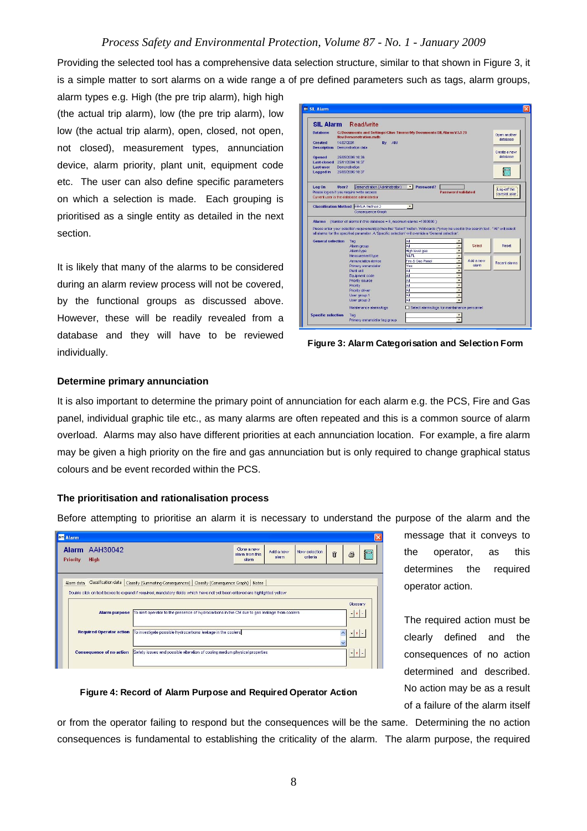Providing the selected tool has a comprehensive data selection structure, similar to that shown in Figure 3, it is a simple matter to sort alarms on a wide range a of pre defined parameters such as tags, alarm groups,

alarm types e.g. High (the pre trip alarm), high high (the actual trip alarm), low (the pre trip alarm), low low (the actual trip alarm), open, closed, not open, not closed), measurement types, annunciation device, alarm priority, plant unit, equipment code etc. The user can also define specific parameters on which a selection is made. Each grouping is prioritised as a single entity as detailed in the next section.

It is likely that many of the alarms to be considered during an alarm review process will not be covered, by the functional groups as discussed above. However, these will be readily revealed from a database and they will have to be reviewed individually.

| <b>SIL Alarm</b> Read/write<br>C: Documents and Settings Clive Timms My Documents SILAlarm V3.5 25<br><b>Database</b><br><b>Nov</b> Demonstration.mdb<br>14/07/2001<br><b>Created</b><br>AIM<br>Bv<br><b>Description</b> Demonstration data<br>Opened<br>25/05/2006 10:36<br>Last closed 25/11/2004 16:37<br>Last user<br>Demonstration<br><b>Logged</b> in<br>25/05/2006 10:37<br>Password?<br>$\cdot$<br>Log On<br>User?<br>Demonstration (Administrator)<br>Please log on if you require write access<br><b>Password validated</b><br>Current user is the database administrator<br><b>Classification Method EEMUA Method 2</b><br>$\overline{\phantom{a}}$<br>Consequence Graph<br>(Number of alarms in this database = 8, maximum alarms =1000000)<br><b>Alarms</b><br>Please enter your selection requirement(s) then the "Select" button, Wild cards (*) may be used in the search text, "All" will select<br>all alarms for the specified parameter. A 'Specific selection' will override a 'General selection'.<br><b>General selection</b><br>ΑI<br>Tag<br>ĀΙ<br>Select<br>Alarm group<br>٠<br>Alarm type<br>High level gas<br>٠<br>%LFL<br>Measurement type<br>٠ |                     |                  |                          |                             |
|-----------------------------------------------------------------------------------------------------------------------------------------------------------------------------------------------------------------------------------------------------------------------------------------------------------------------------------------------------------------------------------------------------------------------------------------------------------------------------------------------------------------------------------------------------------------------------------------------------------------------------------------------------------------------------------------------------------------------------------------------------------------------------------------------------------------------------------------------------------------------------------------------------------------------------------------------------------------------------------------------------------------------------------------------------------------------------------------------------------------------------------------------------------------------------|---------------------|------------------|--------------------------|-----------------------------|
|                                                                                                                                                                                                                                                                                                                                                                                                                                                                                                                                                                                                                                                                                                                                                                                                                                                                                                                                                                                                                                                                                                                                                                             |                     |                  |                          |                             |
|                                                                                                                                                                                                                                                                                                                                                                                                                                                                                                                                                                                                                                                                                                                                                                                                                                                                                                                                                                                                                                                                                                                                                                             |                     |                  |                          | Open another<br>database    |
|                                                                                                                                                                                                                                                                                                                                                                                                                                                                                                                                                                                                                                                                                                                                                                                                                                                                                                                                                                                                                                                                                                                                                                             |                     |                  |                          | Create a new                |
|                                                                                                                                                                                                                                                                                                                                                                                                                                                                                                                                                                                                                                                                                                                                                                                                                                                                                                                                                                                                                                                                                                                                                                             |                     |                  |                          | database                    |
|                                                                                                                                                                                                                                                                                                                                                                                                                                                                                                                                                                                                                                                                                                                                                                                                                                                                                                                                                                                                                                                                                                                                                                             |                     |                  |                          |                             |
|                                                                                                                                                                                                                                                                                                                                                                                                                                                                                                                                                                                                                                                                                                                                                                                                                                                                                                                                                                                                                                                                                                                                                                             |                     |                  |                          |                             |
|                                                                                                                                                                                                                                                                                                                                                                                                                                                                                                                                                                                                                                                                                                                                                                                                                                                                                                                                                                                                                                                                                                                                                                             |                     |                  |                          |                             |
|                                                                                                                                                                                                                                                                                                                                                                                                                                                                                                                                                                                                                                                                                                                                                                                                                                                                                                                                                                                                                                                                                                                                                                             |                     |                  |                          | Log-off the<br>current user |
|                                                                                                                                                                                                                                                                                                                                                                                                                                                                                                                                                                                                                                                                                                                                                                                                                                                                                                                                                                                                                                                                                                                                                                             |                     |                  |                          |                             |
|                                                                                                                                                                                                                                                                                                                                                                                                                                                                                                                                                                                                                                                                                                                                                                                                                                                                                                                                                                                                                                                                                                                                                                             |                     |                  |                          |                             |
|                                                                                                                                                                                                                                                                                                                                                                                                                                                                                                                                                                                                                                                                                                                                                                                                                                                                                                                                                                                                                                                                                                                                                                             |                     |                  |                          |                             |
|                                                                                                                                                                                                                                                                                                                                                                                                                                                                                                                                                                                                                                                                                                                                                                                                                                                                                                                                                                                                                                                                                                                                                                             |                     |                  |                          |                             |
|                                                                                                                                                                                                                                                                                                                                                                                                                                                                                                                                                                                                                                                                                                                                                                                                                                                                                                                                                                                                                                                                                                                                                                             |                     |                  |                          |                             |
|                                                                                                                                                                                                                                                                                                                                                                                                                                                                                                                                                                                                                                                                                                                                                                                                                                                                                                                                                                                                                                                                                                                                                                             |                     |                  |                          | Reset                       |
|                                                                                                                                                                                                                                                                                                                                                                                                                                                                                                                                                                                                                                                                                                                                                                                                                                                                                                                                                                                                                                                                                                                                                                             |                     |                  |                          |                             |
|                                                                                                                                                                                                                                                                                                                                                                                                                                                                                                                                                                                                                                                                                                                                                                                                                                                                                                                                                                                                                                                                                                                                                                             | Annunciation device | Fire & Gas Panel | Add a new<br>٠           | Recent alarms               |
| ٠                                                                                                                                                                                                                                                                                                                                                                                                                                                                                                                                                                                                                                                                                                                                                                                                                                                                                                                                                                                                                                                                                                                                                                           | Primary annunciator | Yes              | alarm<br>$\cdot$         |                             |
| Αl<br>٠<br>Priority source                                                                                                                                                                                                                                                                                                                                                                                                                                                                                                                                                                                                                                                                                                                                                                                                                                                                                                                                                                                                                                                                                                                                                  | Plant unit          | AΙ               | $\overline{\phantom{a}}$ |                             |
| ΑI<br>$\ddot{}$<br>Priority                                                                                                                                                                                                                                                                                                                                                                                                                                                                                                                                                                                                                                                                                                                                                                                                                                                                                                                                                                                                                                                                                                                                                 | Equipment code      | ΑI               |                          |                             |
| AΙ<br>Priority driver<br>٠                                                                                                                                                                                                                                                                                                                                                                                                                                                                                                                                                                                                                                                                                                                                                                                                                                                                                                                                                                                                                                                                                                                                                  |                     |                  |                          |                             |
| All<br>User group 1<br>٠                                                                                                                                                                                                                                                                                                                                                                                                                                                                                                                                                                                                                                                                                                                                                                                                                                                                                                                                                                                                                                                                                                                                                    |                     |                  |                          |                             |
| User group 2                                                                                                                                                                                                                                                                                                                                                                                                                                                                                                                                                                                                                                                                                                                                                                                                                                                                                                                                                                                                                                                                                                                                                                |                     |                  |                          |                             |
| Maintenance alarms/logs<br>Select alarms/logs for maintainance personnel                                                                                                                                                                                                                                                                                                                                                                                                                                                                                                                                                                                                                                                                                                                                                                                                                                                                                                                                                                                                                                                                                                    |                     | ΔI               |                          |                             |
|                                                                                                                                                                                                                                                                                                                                                                                                                                                                                                                                                                                                                                                                                                                                                                                                                                                                                                                                                                                                                                                                                                                                                                             |                     |                  |                          |                             |

**Figure 3: Alarm Categorisation and Selection Form**

#### **Determine primary annunciation**

It is also important to determine the primary point of annunciation for each alarm e.g. the PCS, Fire and Gas panel, individual graphic tile etc., as many alarms are often repeated and this is a common source of alarm overload. Alarms may also have different priorities at each annunciation location. For example, a fire alarm may be given a high priority on the fire and gas annunciation but is only required to change graphical status colours and be event recorded within the PCS.

#### **The prioritisation and rationalisation process**

Before attempting to prioritise an alarm it is necessary to understand the purpose of the alarm and the



message that it conveys to the operator, as this determines the required operator action.

The required action must be clearly defined and the consequences of no action determined and described. No action may be as a result of a failure of the alarm itself

#### **Figure 4: Record of Alarm Purpose and Required Operator Action**

or from the operator failing to respond but the consequences will be the same. Determining the no action consequences is fundamental to establishing the criticality of the alarm. The alarm purpose, the required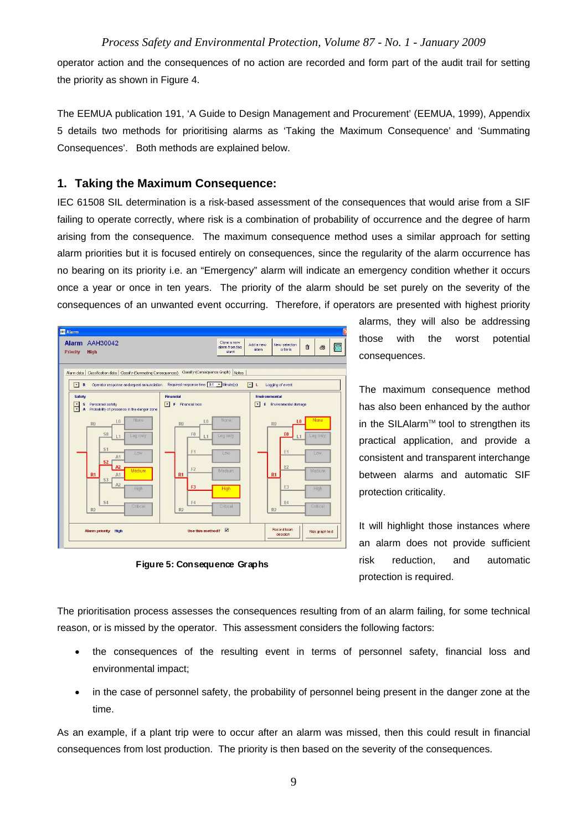operator action and the consequences of no action are recorded and form part of the audit trail for setting the priority as shown in Figure 4.

The EEMUA publication 191, 'A Guide to Design Management and Procurement' (EEMUA, 1999), Appendix 5 details two methods for prioritising alarms as 'Taking the Maximum Consequence' and 'Summating Consequences'. Both methods are explained below.

#### **1. Taking the Maximum Consequence:**

IEC 61508 SIL determination is a risk-based assessment of the consequences that would arise from a SIF failing to operate correctly, where risk is a combination of probability of occurrence and the degree of harm arising from the consequence. The maximum consequence method uses a similar approach for setting alarm priorities but it is focused entirely on consequences, since the regularity of the alarm occurrence has no bearing on its priority i.e. an "Emergency" alarm will indicate an emergency condition whether it occurs once a year or once in ten years. The priority of the alarm should be set purely on the severity of the consequences of an unwanted event occurring. Therefore, if operators are presented with highest priority



**Figure 5: Consequence Graphs**

alarms, they will also be addressing those with the worst potential consequences.

The maximum consequence method has also been enhanced by the author in the SILAlarm<sup>™</sup> tool to strengthen its practical application, and provide a consistent and transparent interchange between alarms and automatic SIF protection criticality.

It will highlight those instances where an alarm does not provide sufficient risk reduction, and automatic protection is required.

The prioritisation process assesses the consequences resulting from of an alarm failing, for some technical reason, or is missed by the operator. This assessment considers the following factors:

- the consequences of the resulting event in terms of personnel safety, financial loss and environmental impact;
- in the case of personnel safety, the probability of personnel being present in the danger zone at the time.

As an example, if a plant trip were to occur after an alarm was missed, then this could result in financial consequences from lost production. The priority is then based on the severity of the consequences.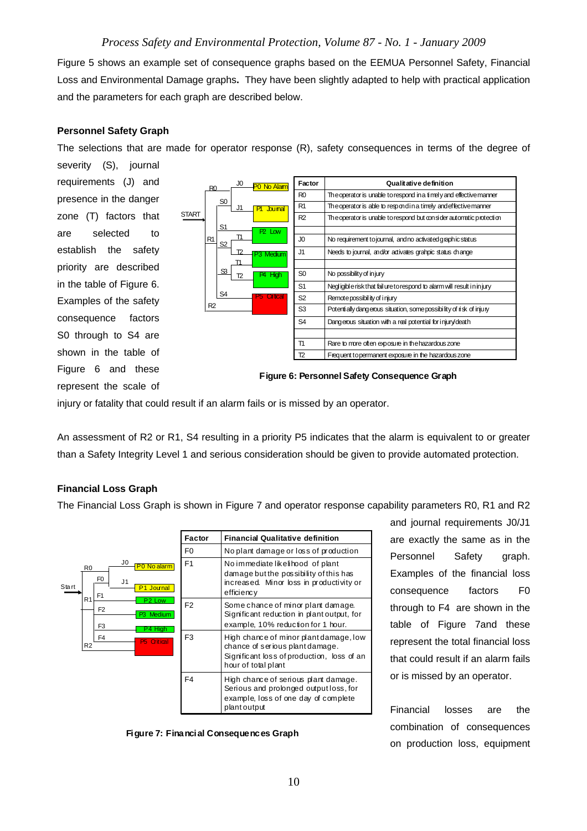Figure 5 shows an example set of consequence graphs based on the EEMUA Personnel Safety, Financial Loss and Environmental Damage graphs**.** They have been slightly adapted to help with practical application and the parameters for each graph are described below.

#### **Personnel Safety Graph**

The selections that are made for operator response (R), safety consequences in terms of the degree of

severity (S), journal requirements (J) and presence in the danger zone (T) factors that are selected to establish the safety priority are described in the table of Figure 6. Examples of the safety consequence factors S0 through to S4 are shown in the table of Figure 6 and these represent the scale of



**Figure 6: Personnel Safety Consequence Graph**

injury or fatality that could result if an alarm fails or is missed by an operator.

An assessment of R2 or R1, S4 resulting in a priority P5 indicates that the alarm is equivalent to or greater than a Safety Integrity Level 1 and serious consideration should be given to provide automated protection.

#### **Financial Loss Graph**

The Financial Loss Graph is shown in Figure 7 and operator response capability parameters R0, R1 and R2



**Figure 7: Financial Consequences Graph**

and journal requirements J0/J1 are exactly the same as in the Personnel Safety graph. Examples of the financial loss consequence factors F0 through to F4 are shown in the table of Figure 7and these represent the total financial loss that could result if an alarm fails or is missed by an operator.

Financial losses are the combination of consequences on production loss, equipment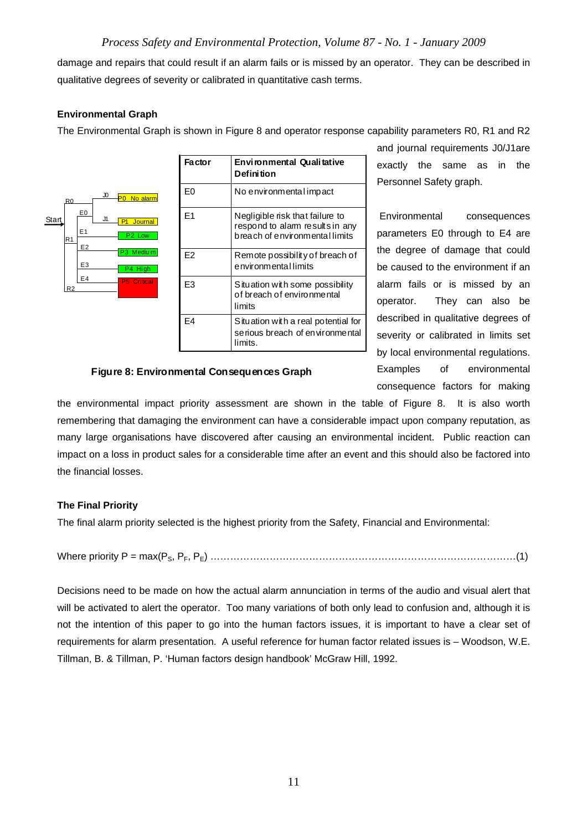damage and repairs that could result if an alarm fails or is missed by an operator. They can be described in qualitative degrees of severity or calibrated in quantitative cash terms.

## **Environmental Graph**

The Environmental Graph is shown in Figure 8 and operator response capability parameters R0, R1 and R2



| <b>Factor</b>  | <b>Environmental Qualitative</b><br><b>Definition</b>                                                |
|----------------|------------------------------------------------------------------------------------------------------|
| F٥             | No environmental impact                                                                              |
| F <sub>1</sub> | Negligible risk that failure to<br>respond to alarm results in any<br>breach of environmental limits |
| F <sub>2</sub> | Remote possibility of breach of<br>e nvironmenta Himits                                              |
| F <sub>3</sub> | Situation with some possibility<br>of breach of environmental<br>limits                              |
| F4             | Situation with a real potential for<br>se rious breach of en vironmental<br>limits.                  |

and journal requirements J0/J1are exactly the same as in the Personnel Safety graph.

 Environmental consequences parameters E0 through to E4 are the degree of damage that could be caused to the environment if an alarm fails or is missed by an operator. They can also be described in qualitative degrees of severity or calibrated in limits set by local environmental regulations. Examples of environmental consequence factors for making

## **Figure 8: Environmental Consequences Graph**

the environmental impact priority assessment are shown in the table of Figure 8. It is also worth remembering that damaging the environment can have a considerable impact upon company reputation, as many large organisations have discovered after causing an environmental incident. Public reaction can impact on a loss in product sales for a considerable time after an event and this should also be factored into the financial losses.

## **The Final Priority**

The final alarm priority selected is the highest priority from the Safety, Financial and Environmental:

Where priority P = max(PS, PF, PE) …………………………………………………………………………………(1)

Decisions need to be made on how the actual alarm annunciation in terms of the audio and visual alert that will be activated to alert the operator. Too many variations of both only lead to confusion and, although it is not the intention of this paper to go into the human factors issues, it is important to have a clear set of requirements for alarm presentation. A useful reference for human factor related issues is – Woodson, W.E. Tillman, B. & Tillman, P. 'Human factors design handbook' McGraw Hill, 1992.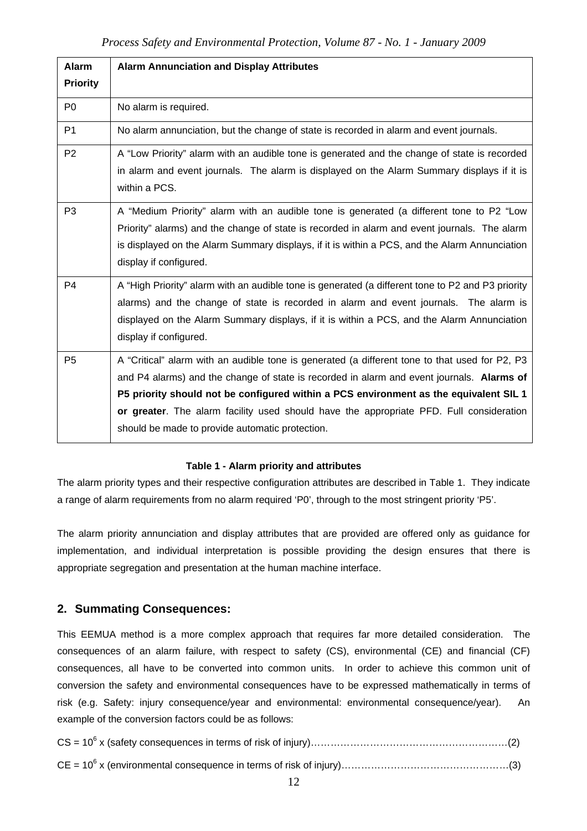| <b>Alarm</b><br><b>Priority</b> | <b>Alarm Annunciation and Display Attributes</b>                                                                                                                                                                                                                                                                                                                                                                                   |
|---------------------------------|------------------------------------------------------------------------------------------------------------------------------------------------------------------------------------------------------------------------------------------------------------------------------------------------------------------------------------------------------------------------------------------------------------------------------------|
| P <sub>0</sub>                  | No alarm is required.                                                                                                                                                                                                                                                                                                                                                                                                              |
| P <sub>1</sub>                  | No alarm annunciation, but the change of state is recorded in alarm and event journals.                                                                                                                                                                                                                                                                                                                                            |
| P <sub>2</sub>                  | A "Low Priority" alarm with an audible tone is generated and the change of state is recorded<br>in alarm and event journals. The alarm is displayed on the Alarm Summary displays if it is<br>within a PCS.                                                                                                                                                                                                                        |
| P <sub>3</sub>                  | A "Medium Priority" alarm with an audible tone is generated (a different tone to P2 "Low<br>Priority" alarms) and the change of state is recorded in alarm and event journals. The alarm<br>is displayed on the Alarm Summary displays, if it is within a PCS, and the Alarm Annunciation<br>display if configured.                                                                                                                |
| P <sub>4</sub>                  | A "High Priority" alarm with an audible tone is generated (a different tone to P2 and P3 priority<br>alarms) and the change of state is recorded in alarm and event journals. The alarm is<br>displayed on the Alarm Summary displays, if it is within a PCS, and the Alarm Annunciation<br>display if configured.                                                                                                                 |
| P <sub>5</sub>                  | A "Critical" alarm with an audible tone is generated (a different tone to that used for P2, P3<br>and P4 alarms) and the change of state is recorded in alarm and event journals. Alarms of<br>P5 priority should not be configured within a PCS environment as the equivalent SIL 1<br>or greater. The alarm facility used should have the appropriate PFD. Full consideration<br>should be made to provide automatic protection. |

## **Table 1 - Alarm priority and attributes**

The alarm priority types and their respective configuration attributes are described in Table 1. They indicate a range of alarm requirements from no alarm required 'P0', through to the most stringent priority 'P5'.

The alarm priority annunciation and display attributes that are provided are offered only as guidance for implementation, and individual interpretation is possible providing the design ensures that there is appropriate segregation and presentation at the human machine interface.

# **2. Summating Consequences:**

This EEMUA method is a more complex approach that requires far more detailed consideration. The consequences of an alarm failure, with respect to safety (CS), environmental (CE) and financial (CF) consequences, all have to be converted into common units. In order to achieve this common unit of conversion the safety and environmental consequences have to be expressed mathematically in terms of risk (e.g. Safety: injury consequence/year and environmental: environmental consequence/year). An example of the conversion factors could be as follows: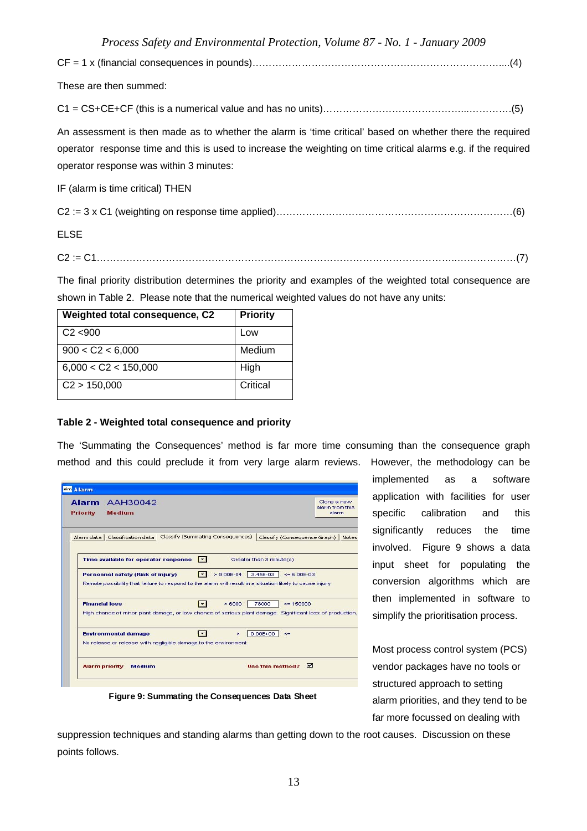| Process Safety and Environmental Protection, Volume 87 - No. 1 - January 2009                                                                                                                                                                                          |
|------------------------------------------------------------------------------------------------------------------------------------------------------------------------------------------------------------------------------------------------------------------------|
|                                                                                                                                                                                                                                                                        |
| These are then summed:                                                                                                                                                                                                                                                 |
|                                                                                                                                                                                                                                                                        |
| An assessment is then made as to whether the alarm is 'time critical' based on whether there the required<br>operator response time and this is used to increase the weighting on time critical alarms e.g. if the required<br>operator response was within 3 minutes: |
| IF (alarm is time critical) THEN                                                                                                                                                                                                                                       |
|                                                                                                                                                                                                                                                                        |

ELSE

C2 := C1………………………………………………………………………………………………..………………(7)

The final priority distribution determines the priority and examples of the weighted total consequence are shown in Table 2. Please note that the numerical weighted values do not have any units:

| <b>Weighted total consequence, C2</b> | <b>Priority</b> |
|---------------------------------------|-----------------|
| C2 < 900                              | Low             |
| 900 < C2 < 6,000                      | Medium          |
| 6,000 < C2 < 150,000                  | High            |
| C2 > 150,000                          | Critical        |

#### **Table 2 - Weighted total consequence and priority**

The 'Summating the Consequences' method is far more time consuming than the consequence graph method and this could preclude it from very large alarm reviews. However, the methodology can be



implemented as a software application with facilities for user specific calibration and this significantly reduces the time involved. Figure 9 shows a data input sheet for populating the conversion algorithms which are then implemented in software to simplify the prioritisation process.

Most process control system (PCS) vendor packages have no tools or structured approach to setting alarm priorities, and they tend to be far more focussed on dealing with

**Figure 9: Summating the Consequences Data Sheet**

suppression techniques and standing alarms than getting down to the root causes. Discussion on these points follows.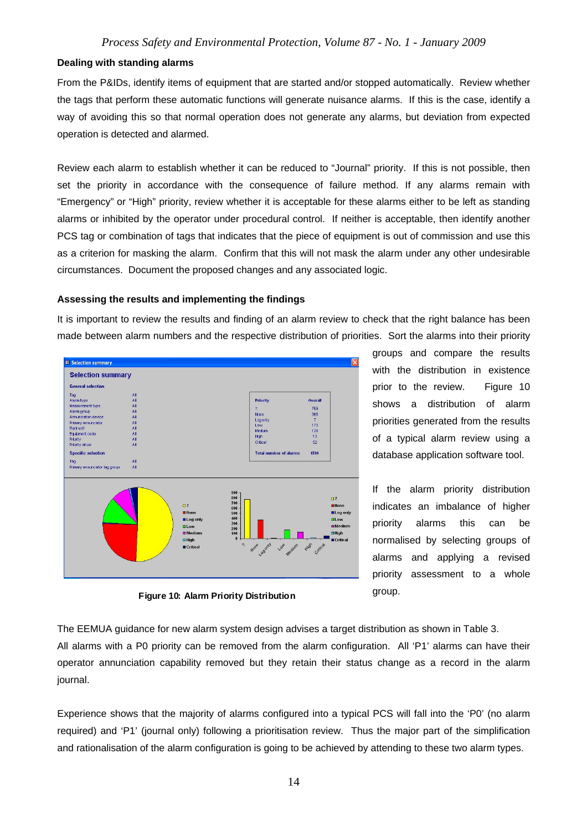#### **Dealing with standing alarms**

From the P&IDs, identify items of equipment that are started and/or stopped automatically. Review whether the tags that perform these automatic functions will generate nuisance alarms. If this is the case, identify a way of avoiding this so that normal operation does not generate any alarms, but deviation from expected operation is detected and alarmed.

Review each alarm to establish whether it can be reduced to "Journal" priority. If this is not possible, then set the priority in accordance with the consequence of failure method. If any alarms remain with "Emergency" or "High" priority, review whether it is acceptable for these alarms either to be left as standing alarms or inhibited by the operator under procedural control. If neither is acceptable, then identify another PCS tag or combination of tags that indicates that the piece of equipment is out of commission and use this as a criterion for masking the alarm. Confirm that this will not mask the alarm under any other undesirable circumstances. Document the proposed changes and any associated logic.

#### **Assessing the results and implementing the findings**

It is important to review the results and finding of an alarm review to check that the right balance has been made between alarm numbers and the respective distribution of priorities. Sort the alarms into their priority



**Figure 10: Alarm Priority Distribution**

groups and compare the results with the distribution in existence prior to the review. Figure 10 shows a distribution of alarm priorities generated from the results of a typical alarm review using a database application software tool.

If the alarm priority distribution indicates an imbalance of higher priority alarms this can be normalised by selecting groups of alarms and applying a revised priority assessment to a whole group.

The EEMUA guidance for new alarm system design advises a target distribution as shown in Table 3. All alarms with a P0 priority can be removed from the alarm configuration. All 'P1' alarms can have their operator annunciation capability removed but they retain their status change as a record in the alarm journal.

Experience shows that the majority of alarms configured into a typical PCS will fall into the 'P0' (no alarm required) and 'P1' (journal only) following a prioritisation review. Thus the major part of the simplification and rationalisation of the alarm configuration is going to be achieved by attending to these two alarm types.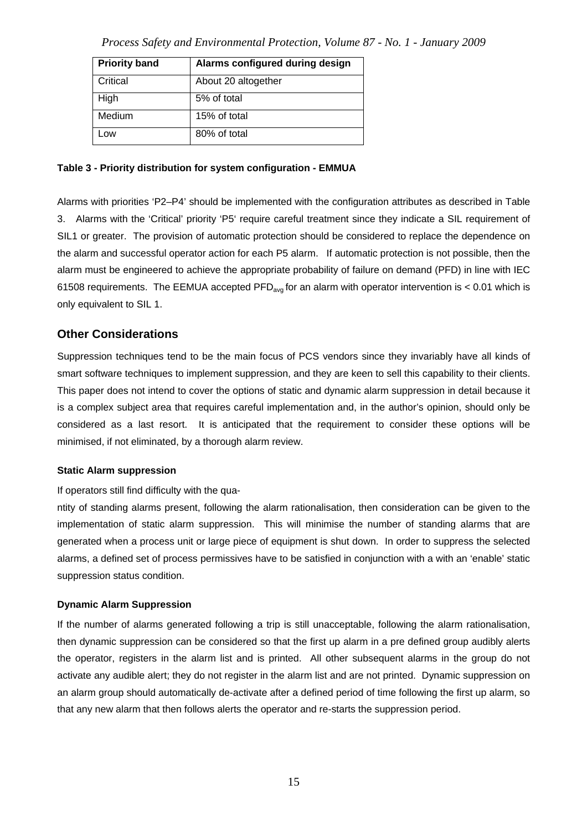| <b>Priority band</b> | Alarms configured during design |
|----------------------|---------------------------------|
| Critical             | About 20 altogether             |
| High                 | 5% of total                     |
| Medium               | 15% of total                    |
| .ow                  | 80% of total                    |

#### **Table 3 - Priority distribution for system configuration - EMMUA**

Alarms with priorities 'P2–P4' should be implemented with the configuration attributes as described in Table 3. Alarms with the 'Critical' priority 'P5' require careful treatment since they indicate a SIL requirement of SIL1 or greater. The provision of automatic protection should be considered to replace the dependence on the alarm and successful operator action for each P5 alarm. If automatic protection is not possible, then the alarm must be engineered to achieve the appropriate probability of failure on demand (PFD) in line with IEC 61508 requirements. The EEMUA accepted PFD<sub>avg</sub> for an alarm with operator intervention is < 0.01 which is only equivalent to SIL 1.

# **Other Considerations**

Suppression techniques tend to be the main focus of PCS vendors since they invariably have all kinds of smart software techniques to implement suppression, and they are keen to sell this capability to their clients. This paper does not intend to cover the options of static and dynamic alarm suppression in detail because it is a complex subject area that requires careful implementation and, in the author's opinion, should only be considered as a last resort. It is anticipated that the requirement to consider these options will be minimised, if not eliminated, by a thorough alarm review.

## **Static Alarm suppression**

## If operators still find difficulty with the qua-

ntity of standing alarms present, following the alarm rationalisation, then consideration can be given to the implementation of static alarm suppression. This will minimise the number of standing alarms that are generated when a process unit or large piece of equipment is shut down. In order to suppress the selected alarms, a defined set of process permissives have to be satisfied in conjunction with a with an 'enable' static suppression status condition.

## **Dynamic Alarm Suppression**

If the number of alarms generated following a trip is still unacceptable, following the alarm rationalisation, then dynamic suppression can be considered so that the first up alarm in a pre defined group audibly alerts the operator, registers in the alarm list and is printed. All other subsequent alarms in the group do not activate any audible alert; they do not register in the alarm list and are not printed. Dynamic suppression on an alarm group should automatically de-activate after a defined period of time following the first up alarm, so that any new alarm that then follows alerts the operator and re-starts the suppression period.